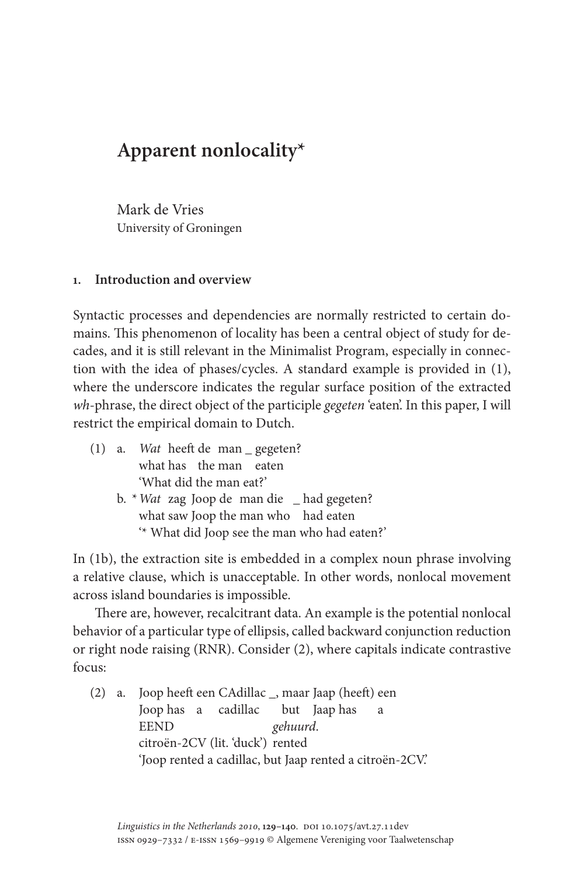# **Apparent nonlocality\***

Mark de Vries University of Groningen

## **1. Introduction and overview**

Syntactic processes and dependencies are normally restricted to certain domains. This phenomenon of locality has been a central object of study for decades, and it is still relevant in the Minimalist Program, especially in connection with the idea of phases/cycles. A standard example is provided in (1), where the underscore indicates the regular surface position of the extracted *wh*-phrase, the direct object of the participle *gegeten* 'eaten'. In this paper, I will restrict the empirical domain to Dutch.

|                         |  |  |  |  |  | (1) a. <i>Wat</i> heeft de man gegeten? |  |  |
|-------------------------|--|--|--|--|--|-----------------------------------------|--|--|
|                         |  |  |  |  |  | what has the man eaten                  |  |  |
| 'What did the man eat?' |  |  |  |  |  |                                         |  |  |
|                         |  |  |  |  |  |                                         |  |  |

 b. \**Wat* zag Joop de man die \_ had gegeten? what saw Joop the man who had eaten '\* What did Joop see the man who had eaten?'

In (1b), the extraction site is embedded in a complex noun phrase involving a relative clause, which is unacceptable. In other words, nonlocal movement across island boundaries is impossible.

There are, however, recalcitrant data. An example is the potential nonlocal behavior of a particular type of ellipsis, called backward conjunction reduction or right node raising (RNR). Consider (2), where capitals indicate contrastive focus:

(2) a. Joop heeft een CAdillac \_, maar Jaap (heeft) een Joop has a cadillac but Jaap has a EEND *gehuurd*. citroën-2CV (lit. 'duck') rented 'Joop rented a cadillac, but Jaap rented a citroën-2CV.'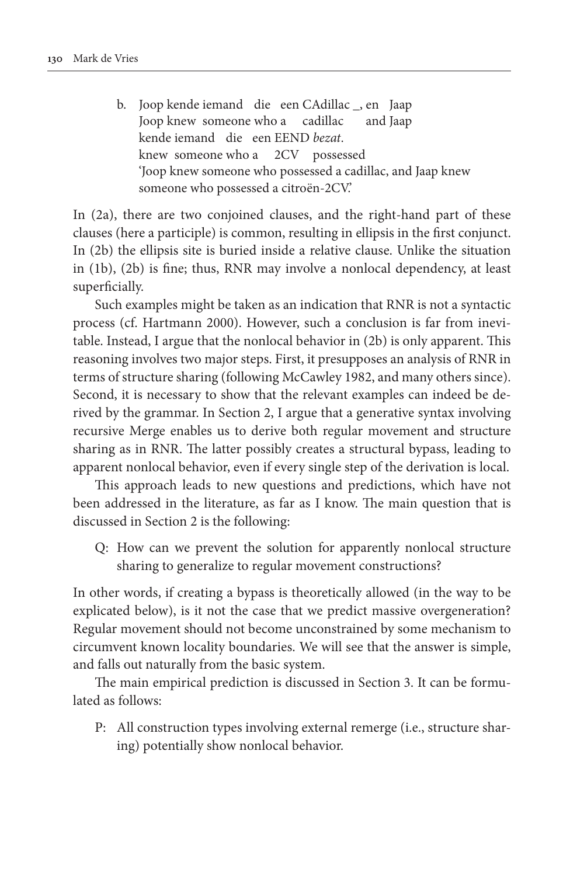b. Joop kende iemand die een CAdillac \_, en Jaap Joop knew someone who a cadillac and Jaap kende iemand die een EEND *bezat*. knew someone who a 2CV possessed 'Joop knew someone who possessed a cadillac, and Jaap knew someone who possessed a citroën-2CV.'

In (2a), there are two conjoined clauses, and the right-hand part of these clauses (here a participle) is common, resulting in ellipsis in the first conjunct. In (2b) the ellipsis site is buried inside a relative clause. Unlike the situation in (1b), (2b) is fine; thus, RNR may involve a nonlocal dependency, at least superficially.

Such examples might be taken as an indication that RNR is not a syntactic process (cf. Hartmann 2000). However, such a conclusion is far from inevitable. Instead, I argue that the nonlocal behavior in (2b) is only apparent. This reasoning involves two major steps. First, it presupposes an analysis of RNR in terms of structure sharing (following McCawley 1982, and many others since). Second, it is necessary to show that the relevant examples can indeed be derived by the grammar. In Section 2, I argue that a generative syntax involving recursive Merge enables us to derive both regular movement and structure sharing as in RNR. The latter possibly creates a structural bypass, leading to apparent nonlocal behavior, even if every single step of the derivation is local.

This approach leads to new questions and predictions, which have not been addressed in the literature, as far as I know. The main question that is discussed in Section 2 is the following:

Q: How can we prevent the solution for apparently nonlocal structure sharing to generalize to regular movement constructions?

In other words, if creating a bypass is theoretically allowed (in the way to be explicated below), is it not the case that we predict massive overgeneration? Regular movement should not become unconstrained by some mechanism to circumvent known locality boundaries. We will see that the answer is simple, and falls out naturally from the basic system.

The main empirical prediction is discussed in Section 3. It can be formulated as follows:

P: All construction types involving external remerge (i.e., structure sharing) potentially show nonlocal behavior.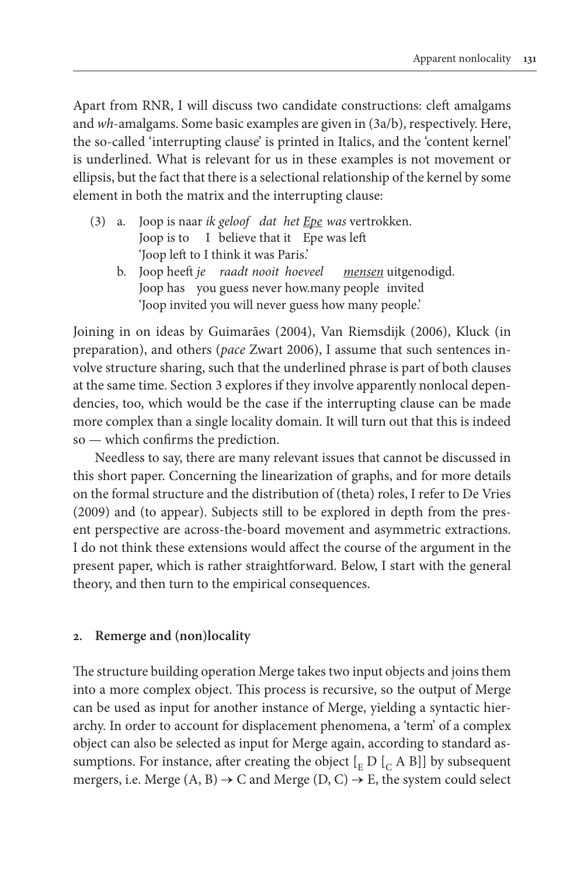Apart from RNR, I will discuss two candidate constructions: cleft amalgams and *wh*-amalgams. Some basic examples are given in (3a/b), respectively. Here, the so-called 'interrupting clause' is printed in Italics, and the 'content kernel' is underlined. What is relevant for us in these examples is not movement or ellipsis, but the fact that there is a selectional relationship of the kernel by some element in both the matrix and the interrupting clause:

- (3) a. Joop is naar *ik geloof dat het Epe was* vertrokken. Joop is to I believe that it Epe was left 'Joop left to I think it was Paris.'
	- b. Joop heeft *je raadt nooit hoeveel mensen* uitgenodigd. Joop has you guess never how.many people invited 'Joop invited you will never guess how many people.'

Joining in on ideas by Guimarães (2004), Van Riemsdijk (2006), Kluck (in preparation), and others (*pace* Zwart 2006), I assume that such sentences involve structure sharing, such that the underlined phrase is part of both clauses at the same time. Section 3 explores if they involve apparently nonlocal dependencies, too, which would be the case if the interrupting clause can be made more complex than a single locality domain. It will turn out that this is indeed so — which confirms the prediction.

Needless to say, there are many relevant issues that cannot be discussed in this short paper. Concerning the linearization of graphs, and for more details on the formal structure and the distribution of (theta) roles, I refer to De Vries (2009) and (to appear). Subjects still to be explored in depth from the present perspective are across-the-board movement and asymmetric extractions. I do not think these extensions would affect the course of the argument in the present paper, which is rather straightforward. Below, I start with the general theory, and then turn to the empirical consequences.

## **2. Remerge and (non)locality**

The structure building operation Merge takes two input objects and joins them into a more complex object. This process is recursive, so the output of Merge can be used as input for another instance of Merge, yielding a syntactic hierarchy. In order to account for displacement phenomena, a 'term' of a complex object can also be selected as input for Merge again, according to standard assumptions. For instance, after creating the object  $\left[\begin{smallmatrix}E|E\end{smallmatrix}\right]$  [ $\sim$  A B]] by subsequent mergers, i.e. Merge  $(A, B) \rightarrow C$  and Merge  $(D, C) \rightarrow E$ , the system could select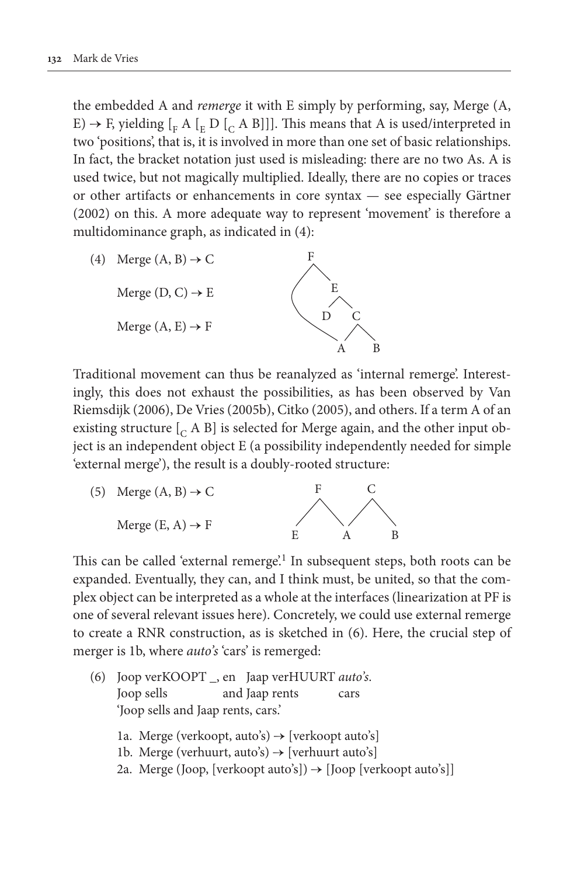the embedded A and *remerge* it with E simply by performing, say, Merge (A, E)  $\rightarrow$  F, yielding  $\left[\begin{smallmatrix}E & A & E & D & A & B\end{smallmatrix}\right]$ . This means that A is used/interpreted in two 'positions', that is, it is involved in more than one set of basic relationships. In fact, the bracket notation just used is misleading: there are no two As. A is used twice, but not magically multiplied. Ideally, there are no copies or traces or other artifacts or enhancements in core syntax — see especially Gärtner (2002) on this. A more adequate way to represent 'movement' is therefore a multidominance graph, as indicated in (4):



Traditional movement can thus be reanalyzed as 'internal remerge'. Interestingly, this does not exhaust the possibilities, as has been observed by Van Riemsdijk (2006), De Vries (2005b), Citko (2005), and others. If a term A of an existing structure  $\begin{bmatrix} C & A & B \end{bmatrix}$  is selected for Merge again, and the other input object is an independent object E (a possibility independently needed for simple 'external merge'), the result is a doubly-rooted structure:

(5) Merge (A, B) 
$$
\rightarrow
$$
 C  
Merge (E, A)  $\rightarrow$  F  
E  
A

This can be called 'external remerge'.<sup>1</sup> In subsequent steps, both roots can be expanded. Eventually, they can, and I think must, be united, so that the complex object can be interpreted as a whole at the interfaces (linearization at PF is one of several relevant issues here). Concretely, we could use external remerge to create a RNR construction, as is sketched in (6). Here, the crucial step of merger is 1b, where *auto's* 'cars' is remerged:

- (6) Joop verKOOPT \_, en Jaap verHUURT *auto's*. Joop sells and Jaap rents cars 'Joop sells and Jaap rents, cars.'
	- 1a. Merge (verkoopt, auto's)  $\rightarrow$  [verkoopt auto's]
	- 1b. Merge (verhuurt, auto's)  $\rightarrow$  [verhuurt auto's]
	- 2a. Merge (Joop, [verkoopt auto's]) → [Joop [verkoopt auto's]]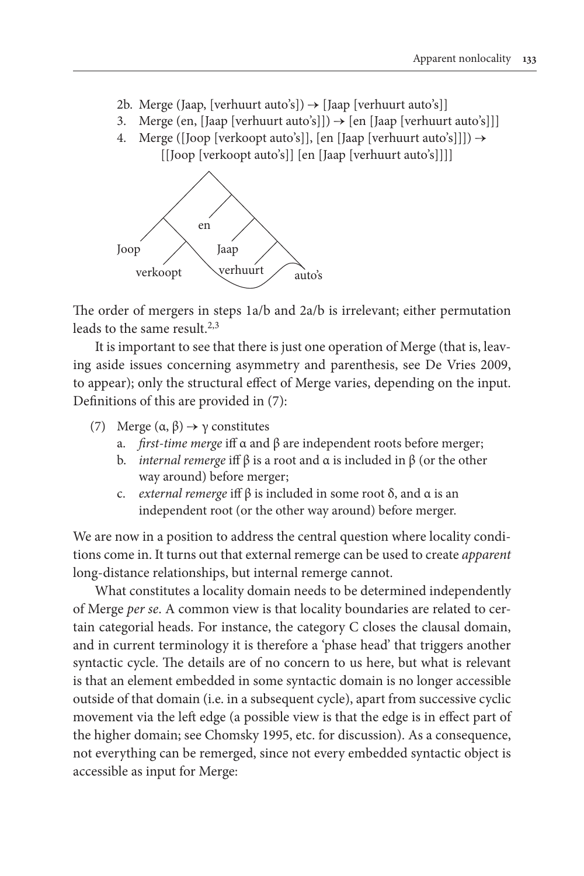- 2b. Merge (Jaap, [verhuurt auto's])  $\rightarrow$  [Jaap [verhuurt auto's]]
- 3. Merge (en, [Jaap [verhuurt auto's]])  $\rightarrow$  [en [Jaap [verhuurt auto's]]]
- 4. Merge ([Joop [verkoopt auto's]], [en [Jaap [verhuurt auto's]]]) →
	- [[Joop [verkoopt auto's]] [en [Jaap [verhuurt auto's]]]]



The order of mergers in steps 1a/b and 2a/b is irrelevant; either permutation leads to the same result.<sup>2,3</sup>

It is important to see that there is just one operation of Merge (that is, leaving aside issues concerning asymmetry and parenthesis, see De Vries 2009, to appear); only the structural effect of Merge varies, depending on the input. Definitions of this are provided in (7):

- (7) Merge  $(\alpha, \beta) \rightarrow \gamma$  constitutes
	- a. *first-time merge* iff α and β are independent roots before merger;
	- b. *internal remerge* iff β is a root and α is included in β (or the other way around) before merger;
	- c. *external remerge* iff β is included in some root δ, and α is an independent root (or the other way around) before merger.

We are now in a position to address the central question where locality conditions come in. It turns out that external remerge can be used to create *apparent* long-distance relationships, but internal remerge cannot.

What constitutes a locality domain needs to be determined independently of Merge *per se*. A common view is that locality boundaries are related to certain categorial heads. For instance, the category C closes the clausal domain, and in current terminology it is therefore a 'phase head' that triggers another syntactic cycle. The details are of no concern to us here, but what is relevant is that an element embedded in some syntactic domain is no longer accessible outside of that domain (i.e. in a subsequent cycle), apart from successive cyclic movement via the left edge (a possible view is that the edge is in effect part of the higher domain; see Chomsky 1995, etc. for discussion). As a consequence, not everything can be remerged, since not every embedded syntactic object is accessible as input for Merge: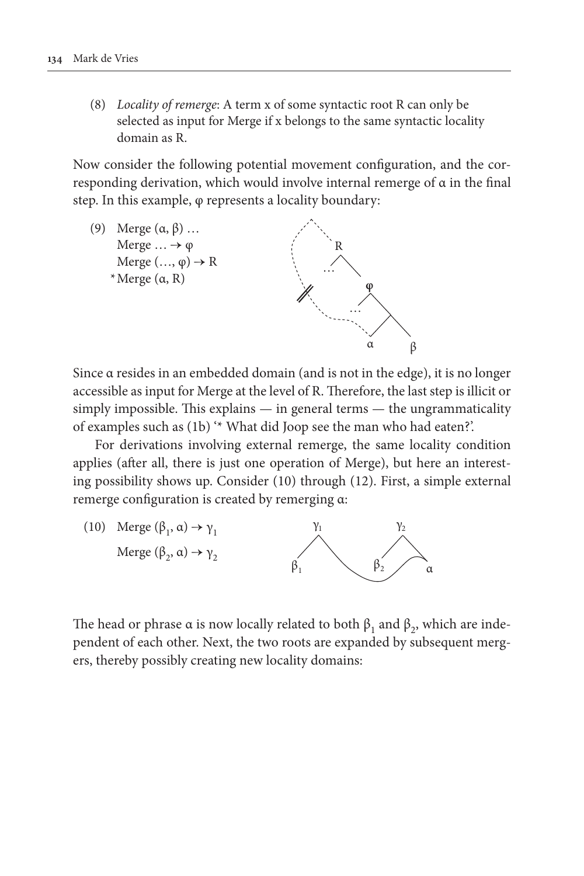(8) *Locality of remerge*: A term x of some syntactic root R can only be selected as input for Merge if x belongs to the same syntactic locality domain as R.

Now consider the following potential movement configuration, and the corresponding derivation, which would involve internal remerge of α in the final step. In this example, φ represents a locality boundary:

(9) Merge (α, β) … Merge  $\ldots \rightarrow \varphi$ Merge  $(...,\varphi) \rightarrow \mathbb{R}$  \*Merge (α, R) α β R … … **φ**

Since α resides in an embedded domain (and is not in the edge), it is no longer accessible as input for Merge at the level of R. Therefore, the last step is illicit or simply impossible. This explains — in general terms — the ungrammaticality of examples such as (1b) '\* What did Joop see the man who had eaten?'.

For derivations involving external remerge, the same locality condition applies (after all, there is just one operation of Merge), but here an interesting possibility shows up. Consider (10) through (12). First, a simple external remerge configuration is created by remerging α:



The head or phrase  $\alpha$  is now locally related to both  $\beta_1$  and  $\beta_2$ , which are independent of each other. Next, the two roots are expanded by subsequent mergers, thereby possibly creating new locality domains: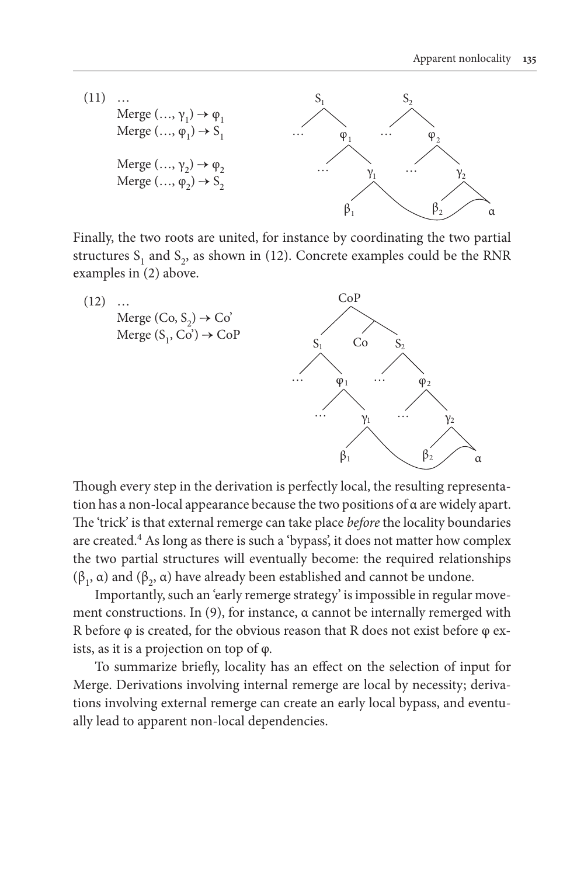$\varphi_2$ 

 $S<sub>2</sub>$ 

…



Finally, the two roots are united, for instance by coordinating the two partial structures  $S_1$  and  $S_2$ , as shown in (12). Concrete examples could be the RNR examples in (2) above.

 $S<sub>1</sub>$ 

 $\varphi_1$ 

Co

CoP

…



 $\beta_1$   $\beta_2$  a  $\gamma_1$  ...  $\gamma_2$ … … Though every step in the derivation is perfectly local, the resulting representation has a non-local appearance because the two positions of α are widely apart. The 'trick' is that external remerge can take place *before* the locality boundaries are created.4 As long as there is such a 'bypass', it does not matter how complex the two partial structures will eventually become: the required relationships  $(\beta_1, \alpha)$  and  $(\beta_2, \alpha)$  have already been established and cannot be undone.

Importantly, such an 'early remerge strategy' is impossible in regular movement constructions. In (9), for instance, α cannot be internally remerged with R before φ is created, for the obvious reason that R does not exist before φ exists, as it is a projection on top of φ.

To summarize briefly, locality has an effect on the selection of input for Merge. Derivations involving internal remerge are local by necessity; derivations involving external remerge can create an early local bypass, and eventually lead to apparent non-local dependencies.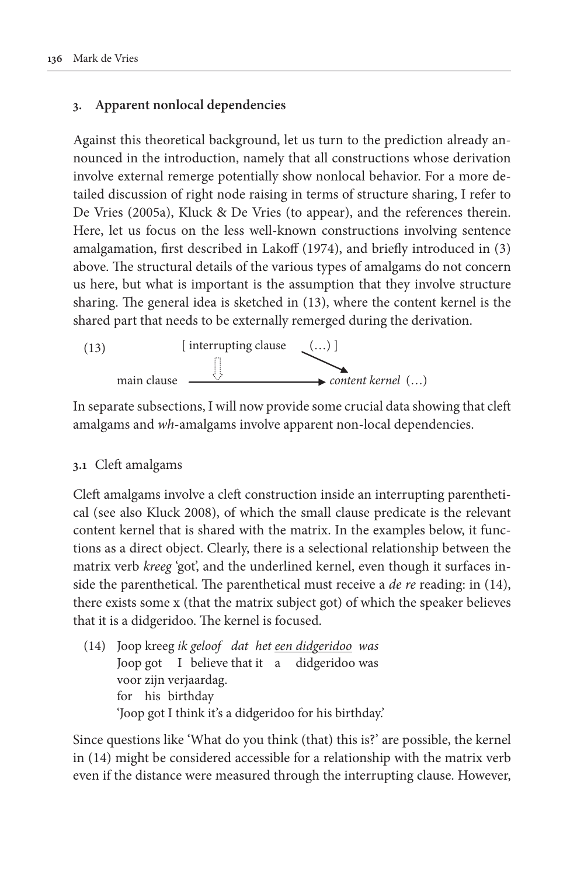## **3. Apparent nonlocal dependencies**

Against this theoretical background, let us turn to the prediction already announced in the introduction, namely that all constructions whose derivation involve external remerge potentially show nonlocal behavior. For a more detailed discussion of right node raising in terms of structure sharing, I refer to De Vries (2005a), Kluck & De Vries (to appear), and the references therein. Here, let us focus on the less well-known constructions involving sentence amalgamation, first described in Lakoff (1974), and briefly introduced in (3) above. The structural details of the various types of amalgams do not concern us here, but what is important is the assumption that they involve structure sharing. The general idea is sketched in (13), where the content kernel is the shared part that needs to be externally remerged during the derivation.



In separate subsections, I will now provide some crucial data showing that cleft amalgams and *wh*-amalgams involve apparent non-local dependencies.

## **3.1** Cleft amalgams

Cleft amalgams involve a cleft construction inside an interrupting parenthetical (see also Kluck 2008), of which the small clause predicate is the relevant content kernel that is shared with the matrix. In the examples below, it functions as a direct object. Clearly, there is a selectional relationship between the matrix verb *kreeg* 'got', and the underlined kernel, even though it surfaces inside the parenthetical. The parenthetical must receive a *de re* reading: in (14), there exists some x (that the matrix subject got) of which the speaker believes that it is a didgeridoo. The kernel is focused.

(14) Joop kreeg *ik geloof dat het een didgeridoo was* Joop got I believe that it a didgeridoo was voor zijn verjaardag. for his birthday 'Joop got I think it's a didgeridoo for his birthday.'

Since questions like 'What do you think (that) this is?' are possible, the kernel in (14) might be considered accessible for a relationship with the matrix verb even if the distance were measured through the interrupting clause. However,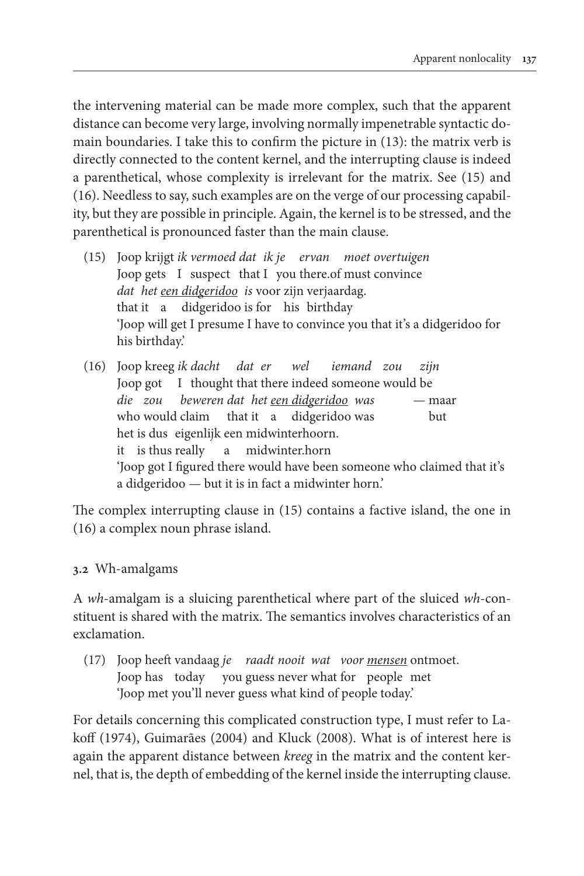the intervening material can be made more complex, such that the apparent distance can become very large, involving normally impenetrable syntactic domain boundaries. I take this to confirm the picture in (13): the matrix verb is directly connected to the content kernel, and the interrupting clause is indeed a parenthetical, whose complexity is irrelevant for the matrix. See (15) and (16). Needless to say, such examples are on the verge of our processing capability, but they are possible in principle. Again, the kernel is to be stressed, and the parenthetical is pronounced faster than the main clause.

- (15) Joop krijgt *ik vermoed dat ik je ervan moet overtuigen* Joop gets I suspect that I you there.of must convince *dat het een didgeridoo is* voor zijn verjaardag. that it a didgeridoo is for his birthday 'Joop will get I presume I have to convince you that it's a didgeridoo for his birthday.'
- (16) Joop kreeg *ik dacht dat er wel iemand zou zijn* Joop got I thought that there indeed someone would be *die zou beweren dat het een didgeridoo was* — maar who would claim that it a didgeridoo was but het is dus eigenlijk een midwinterhoorn. it is thus really a midwinter.horn 'Joop got I figured there would have been someone who claimed that it's a didgeridoo — but it is in fact a midwinter horn.'

The complex interrupting clause in (15) contains a factive island, the one in (16) a complex noun phrase island.

# **3.2** Wh-amalgams

A *wh*-amalgam is a sluicing parenthetical where part of the sluiced *wh*-constituent is shared with the matrix. The semantics involves characteristics of an exclamation.

(17) Joop heeft vandaag *je raadt nooit wat voor mensen* ontmoet. Joop has today you guess never what for people met 'Joop met you'll never guess what kind of people today.'

For details concerning this complicated construction type, I must refer to Lakoff (1974), Guimarães (2004) and Kluck (2008). What is of interest here is again the apparent distance between *kreeg* in the matrix and the content kernel, that is, the depth of embedding of the kernel inside the interrupting clause.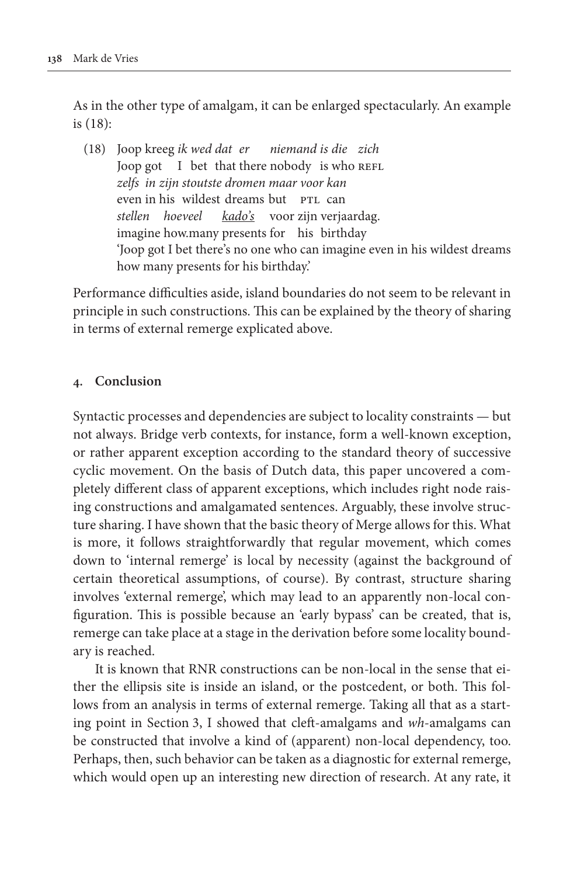As in the other type of amalgam, it can be enlarged spectacularly. An example is (18):

(18) Joop kreeg *ik wed dat er niemand is die zich* Joop got  $I$  bet that there nobody is who REFL *zelfs in zijn stoutste dromen maar voor kan* even in his wildest dreams but PTL can *stellen hoeveel kado's* voor zijn verjaardag. imagine how.many presents for his birthday 'Joop got I bet there's no one who can imagine even in his wildest dreams how many presents for his birthday.'

Performance difficulties aside, island boundaries do not seem to be relevant in principle in such constructions. This can be explained by the theory of sharing in terms of external remerge explicated above.

#### **4. Conclusion**

Syntactic processes and dependencies are subject to locality constraints — but not always. Bridge verb contexts, for instance, form a well-known exception, or rather apparent exception according to the standard theory of successive cyclic movement. On the basis of Dutch data, this paper uncovered a completely different class of apparent exceptions, which includes right node raising constructions and amalgamated sentences. Arguably, these involve structure sharing. I have shown that the basic theory of Merge allows for this. What is more, it follows straightforwardly that regular movement, which comes down to 'internal remerge' is local by necessity (against the background of certain theoretical assumptions, of course). By contrast, structure sharing involves 'external remerge', which may lead to an apparently non-local configuration. This is possible because an 'early bypass' can be created, that is, remerge can take place at a stage in the derivation before some locality boundary is reached.

It is known that RNR constructions can be non-local in the sense that either the ellipsis site is inside an island, or the postcedent, or both. This follows from an analysis in terms of external remerge. Taking all that as a starting point in Section 3, I showed that cleft-amalgams and *wh*-amalgams can be constructed that involve a kind of (apparent) non-local dependency, too. Perhaps, then, such behavior can be taken as a diagnostic for external remerge, which would open up an interesting new direction of research. At any rate, it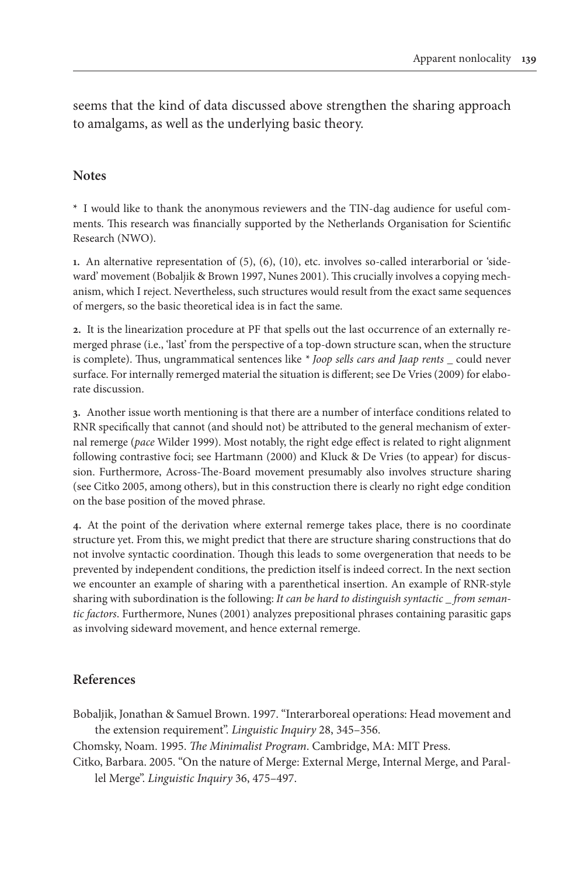seems that the kind of data discussed above strengthen the sharing approach to amalgams, as well as the underlying basic theory.

## **Notes**

**\*** I would like to thank the anonymous reviewers and the TIN-dag audience for useful comments. This research was financially supported by the Netherlands Organisation for Scientific Research (NWO).

**1.** An alternative representation of (5), (6), (10), etc. involves so-called interarborial or 'sideward' movement (Bobaljik & Brown 1997, Nunes 2001). This crucially involves a copying mechanism, which I reject. Nevertheless, such structures would result from the exact same sequences of mergers, so the basic theoretical idea is in fact the same.

**2.** It is the linearization procedure at PF that spells out the last occurrence of an externally remerged phrase (i.e., 'last' from the perspective of a top-down structure scan, when the structure is complete). Thus, ungrammatical sentences like *\* Joop sells cars and Jaap rents \_* could never surface. For internally remerged material the situation is different; see De Vries (2009) for elaborate discussion.

**3.** Another issue worth mentioning is that there are a number of interface conditions related to RNR specifically that cannot (and should not) be attributed to the general mechanism of external remerge (*pace* Wilder 1999). Most notably, the right edge effect is related to right alignment following contrastive foci; see Hartmann (2000) and Kluck & De Vries (to appear) for discussion. Furthermore, Across-The-Board movement presumably also involves structure sharing (see Citko 2005, among others), but in this construction there is clearly no right edge condition on the base position of the moved phrase.

**4.** At the point of the derivation where external remerge takes place, there is no coordinate structure yet. From this, we might predict that there are structure sharing constructions that do not involve syntactic coordination. Though this leads to some overgeneration that needs to be prevented by independent conditions, the prediction itself is indeed correct. In the next section we encounter an example of sharing with a parenthetical insertion. An example of RNR-style sharing with subordination is the following: *It can be hard to distinguish syntactic \_ from semantic factors*. Furthermore, Nunes (2001) analyzes prepositional phrases containing parasitic gaps as involving sideward movement, and hence external remerge.

## **References**

Bobaljik, Jonathan & Samuel Brown. 1997. "Interarboreal operations: Head movement and the extension requirement". *Linguistic Inquiry* 28, 345–356.

Chomsky, Noam. 1995. *The Minimalist Program*. Cambridge, MA: MIT Press.

Citko, Barbara. 2005. "On the nature of Merge: External Merge, Internal Merge, and Parallel Merge". *Linguistic Inquiry* 36, 475–497.